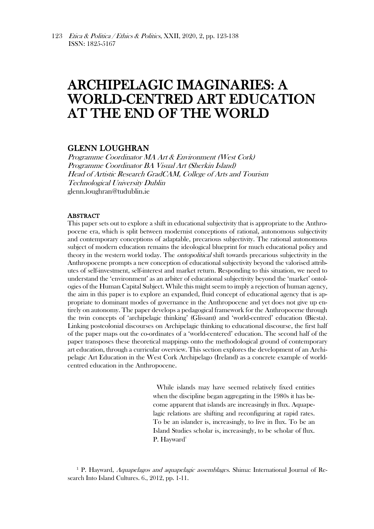# ARCHIPELAGIC IMAGINARIES: A WORLD-CENTRED ART EDUCATION AT THE END OF THE WORLD

## GLENN LOUGHRAN

Programme Coordinator MA Art & Environment (West Cork) Programme Coordinator BA Visual Art (Sherkin Island) Head of Artistic Research GradCAM, College of Arts and Tourism Technological University Dublin glenn.loughran@tudublin.ie

#### ABSTRACT

This paper sets out to explore a shift in educational subjectivity that is appropriate to the Anthropocene era, which is split between modernist conceptions of rational, autonomous subjectivity and contemporary conceptions of adaptable, precarious subjectivity. The rational autonomous subject of modern education remains the ideological blueprint for much educational policy and theory in the western world today. The ontopolitical shift towards precarious subjectivity in the Anthropocene prompts a new conception of educational subjectivity beyond the valorised attributes of self-investment, self-interest and market return. Responding to this situation, we need to understand the 'environment' as an arbiter of educational subjectivity beyond the 'market' ontologies of the Human Capital Subject. While this might seem to imply a rejection of human agency, the aim in this paper is to explore an expanded, fluid concept of educational agency that is appropriate to dominant modes of governance in the Anthropocene and yet does not give up entirely on autonomy. The paper develops a pedagogical framework for the Anthropocene through the twin concepts of 'archipelagic thinking' (Glissant) and 'world-centred' education (Biesta). Linking postcolonial discourses on Archipelagic thinking to educational discourse, the first half of the paper maps out the co-ordinates of a 'world-centered' education. The second half of the paper transposes these theoretical mappings onto the methodological ground of contemporary art education, through a curricular overview. This section explores the development of an Archipelagic Art Education in the West Cork Archipelago (Ireland) as a concrete example of worldcentred education in the Anthropocene.

> While islands may have seemed relatively fixed entities when the discipline began aggregating in the 1980s it has become apparent that islands are increasingly in flux. Aquapelagic relations are shifting and reconfiguring at rapid rates. To be an islander is, increasingly, to live in flux. To be an Island Studies scholar is, increasingly, to be scholar of flux. P. Havward<sup>1</sup>

<sup>1</sup> P. Hayward, *Aquapelagos and aquapelagic assemblages.* Shima: International Journal of Research Into Island Cultures. 6., 2012, pp. 1-11.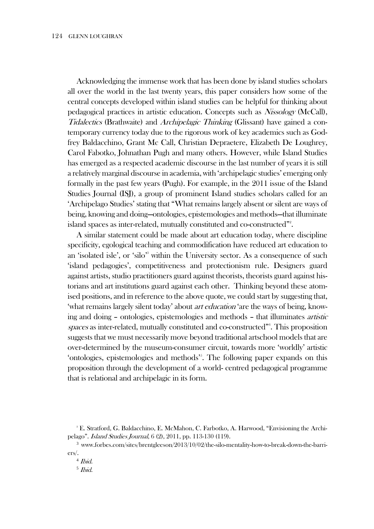Acknowledging the immense work that has been done by island studies scholars all over the world in the last twenty years, this paper considers how some of the central concepts developed within island studies can be helpful for thinking about pedagogical practices in artistic education. Concepts such as Nissology (McCall), Tidalectics (Brathwaite) and Archipelagic Thinking (Glissant) have gained a contemporary currency today due to the rigorous work of key academics such as Godfrey Baldacchino, Grant Mc Call, Christian Depraetere, Elizabeth De Loughrey, Carol Fabotko, Johnathan Pugh and many others. However, while Island Studies has emerged as a respected academic discourse in the last number of years it is still a relatively marginal discourse in academia, with 'archipelagic studies' emerging only formally in the past few years (Pugh). For example, in the 2011 issue of the Island Studies Journal (ISJ), a group of prominent Island studies scholars called for an 'Archipelago Studies' stating that "What remains largely absent or silent are ways of being, knowing and doing—ontologies, epistemologies and methods—that illuminate island spaces as inter-related, mutually constituted and co-constructed"2.

A similar statement could be made about art education today, where discipline specificity, egological teaching and commodification have reduced art education to an 'isolated isle', or 'silo<sup>3</sup> within the University sector. As a consequence of such 'island pedagogies', competitiveness and protectionism rule. Designers guard against artists, studio practitioners guard against theorists, theorists guard against historians and art institutions guard against each other. Thinking beyond these atomised positions, and in reference to the above quote, we could start by suggesting that, 'what remains largely silent today' about art education 'are the ways of being, knowing and doing – ontologies, epistemologies and methods – that illuminates artistic spaces as inter-related, mutually constituted and co-constructed"<sup>4</sup>. This proposition suggests that we must necessarily move beyond traditional artschool models that are over-determined by the museum-consumer circuit, towards more 'worldly' artistic 'ontologies, epistemologies and methods<sup>35</sup>. The following paper expands on this proposition through the development of a world- centred pedagogical programme that is relational and archipelagic in its form.

<sup>2</sup> E. Stratford, G. Baldacchino, E. McMahon, C. Farbotko, A. Harwood, "Envisioning the Archipelago". Island Studies Journal, 6 (2), 2011, pp. 113-130 (119).

<sup>3</sup> www.forbes.com/sites/brentgleeson/2013/10/02/the-silo-mentality-how-to-break-down-the-barriers/.

<sup>4</sup> Ibid.

<sup>5</sup> Ibid.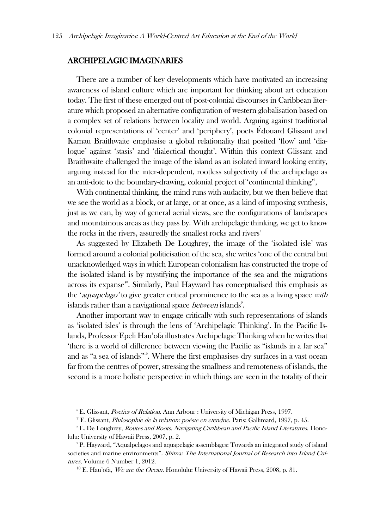## ARCHIPELAGIC IMAGINARIES

There are a number of key developments which have motivated an increasing awareness of island culture which are important for thinking about art education today. The first of these emerged out of post-colonial discourses in Caribbean literature which proposed an alternative configuration of western globalisation based on a complex set of relations between locality and world. Arguing against traditional colonial representations of 'center' and 'periphery', poets Édouard Glissant and Kamau Braithwaite emphasise a global relationality that posited 'flow' and 'dialogue' against 'stasis' and 'dialectical thought'. Within this context Glissant and Braithwaite challenged the image of the island as an isolated inward looking entity, arguing instead for the inter-dependent, rootless subjectivity of the archipelago as an anti-dote to the boundary-drawing, colonial project of 'continental thinking'<sup>6</sup>,

With continental thinking, the mind runs with audacity, but we then believe that we see the world as a block, or at large, or at once, as a kind of imposing synthesis, just as we can, by way of general aerial views, see the configurations of landscapes and mountainous areas as they pass by. With archipelagic thinking, we get to know the rocks in the rivers, assuredly the smallest rocks and rivers<sup>7</sup>

As suggested by Elizabeth De Loughrey, the image of the 'isolated isle' was formed around a colonial politicisation of the sea, she writes 'one of the central but unacknowledged ways in which European colonialism has constructed the trope of the isolated island is by mystifying the importance of the sea and the migrations across its expanse' 8 . Similarly, Paul Hayward has conceptualised this emphasis as the 'aquapelago' to give greater critical prominence to the sea as a living space with islands rather than a navigational space *between* islands<sup>9</sup>.

Another important way to engage critically with such representations of islands as 'isolated isles' is through the lens of 'Archipelagic Thinking'. In the Pacific Islands, Professor Epeli Hau'ofa illustrates Archipelagic Thinking when he writes that 'there is a world of difference between viewing the Pacific as "islands in a far sea" and as "a sea of islands"<sup>10</sup>. Where the first emphasises dry surfaces in a vast ocean far from the centres of power, stressing the smallness and remoteness of islands, the second is a more holistic perspective in which things are seen in the totality of their

<sup>6</sup> E. Glissant, *Poetics of Relation*. Ann Arbour : University of Michigan Press, 1997.

<sup>8</sup> E. De Loughrey, *Routes and Roots. Navigating Caribbean and Pacific Island Literatures*. Honolulu: University of Hawaii Press, 2007, p. 2.

<sup>9</sup> P. Hayward, "Aqualpelagos and aquapelagic assemblages: Towards an integrated study of island societies and marine environments". Shima: The International Journal of Research into Island Cultures, Volume 6 Number 1, 2012.

 $10$  E. Hau'ofa, We are the Ocean. Honolulu: University of Hawaii Press, 2008, p. 31.

<sup>7</sup> E. Glissant, Philosophie de la relation: poésie en etendue. Paris: Gallimard, 1997, p. 45.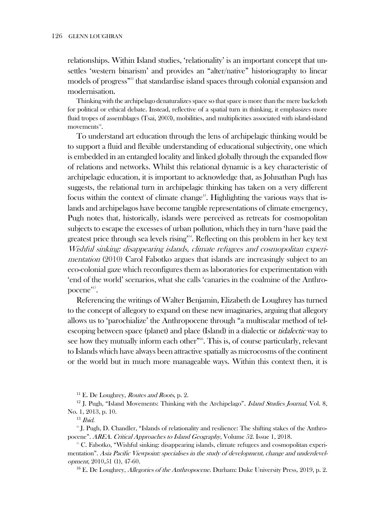relationships. Within Island studies, 'relationality' is an important concept that unsettles 'western binarism' and provides an "alter/native" historiography to linear models of progress<sup>"11</sup> that standardise island spaces through colonial expansion and modernisation.

Thinking with the archipelago denaturalizes space so that space is more than the mere backcloth for political or ethical debate. Instead, reflective of a spatial turn in thinking, it emphasizes more fluid tropes of assemblages (Tsai, 2003), mobilities, and multiplicities associated with island-island  $m$ ovements $^{12}$ .

To understand art education through the lens of archipelagic thinking would be to support a fluid and flexible understanding of educational subjectivity, one which is embedded in an entangled locality and linked globally through the expanded flow of relations and networks. Whilst this relational dynamic is a key characteristic of archipelagic education, it is important to acknowledge that, as Johnathan Pugh has suggests, the relational turn in archipelagic thinking has taken on a very different focus within the context of climate change<sup>13</sup>. Highlighting the various ways that islands and archipelagos have become tangible representations of climate emergency, Pugh notes that, historically, islands were perceived as retreats for cosmopolitan subjects to escape the excesses of urban pollution, which they in turn 'have paid the greatest price through sea levels rising' 14 . Reflecting on this problem in her key text Wishful sinking: disappearing islands, climate refugees and cosmopolitan experimentation (2010) Carol Fabotko argues that islands are increasingly subject to an eco-colonial gaze which reconfigures them as laboratories for experimentation with 'end of the world' scenarios, what she calls 'canaries in the coalmine of the Anthropocene".

Referencing the writings of Walter Benjamin, Elizabeth de Loughrey has turned to the concept of allegory to expand on these new imaginaries, arguing that allegory allows us to 'parochialize' the Anthropocene through "a multiscalar method of telescoping between space (planet) and place (Island) in a dialectic or *tidalectic* way to see how they mutually inform each other"<sup>16</sup>. This is, of course particularly, relevant to Islands which have always been attractive spatially as microcosms of the continent or the world but in much more manageable ways. Within this context then, it is

 $11$  E. De Loughrey, *Routes and Roots*, p. 2.

 $12$  J. Pugh, "Island Movements: Thinking with the Archipelago". Island Studies Journal, Vol. 8, No. 1, 2013, p. 10.

 $13$  *Ibid.* 

<sup>14</sup> J. Pugh, D. Chandler, "Islands of relationality and resilience: The shifting stakes of the Anthropocene". AREA. Critical Approaches to Island Geography, Volume 52. Issue 1, 2018.

<sup>15</sup> C. Fabotko, "Wishful sinking: disappearing islands, climate refugees and cosmopolitan experimentation". Asia Pacific Viewpoint: specialises in the study of development, change and underdevelopment, 2010,51 (1), 47-60.

<sup>16</sup> E. De Loughrey, *Allegories of the Anthropocene*. Durham: Duke University Press, 2019, p. 2.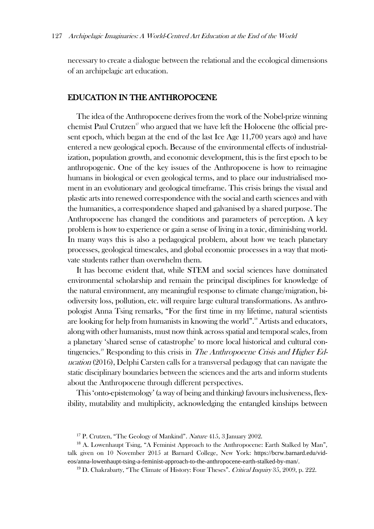necessary to create a dialogue between the relational and the ecological dimensions of an archipelagic art education.

# EDUCATION IN THE ANTHROPOCENE

The idea of the Anthropocene derives from the work of the Nobel-prize winning chemist Paul Crutzen<sup>17</sup> who argued that we have left the Holocene (the official present epoch, which began at the end of the last Ice Age 11,700 years ago) and have entered a new geological epoch. Because of the environmental effects of industrialization, population growth, and economic development, this is the first epoch to be anthropogenic. One of the key issues of the Anthropocene is how to reimagine humans in biological or even geological terms, and to place our industrialised moment in an evolutionary and geological timeframe. This crisis brings the visual and plastic arts into renewed correspondence with the social and earth sciences and with the humanities, a correspondence shaped and galvanised by a shared purpose. The Anthropocene has changed the conditions and parameters of perception. A key problem is how to experience or gain a sense of living in a toxic, diminishing world. In many ways this is also a pedagogical problem, about how we teach planetary processes, geological timescales, and global economic processes in a way that motivate students rather than overwhelm them.

It has become evident that, while STEM and social sciences have dominated environmental scholarship and remain the principal disciplines for knowledge of the natural environment, any meaningful response to climate change/migration, biodiversity loss, pollution, etc. will require large cultural transformations. As anthropologist Anna Tsing remarks, "For the first time in my lifetime, natural scientists are looking for help from humanists in knowing the world".<sup>18</sup> Artists and educators, along with other humanists, must now think across spatial and temporal scales, from a planetary 'shared sense of catastrophe' to more local historical and cultural contingencies.<sup>19</sup> Responding to this crisis in *The Anthropocene Crisis and Higher Ed*ucation (2016), Delphi Carsten calls for a transversal pedagogy that can navigate the static disciplinary boundaries between the sciences and the arts and inform students about the Anthropocene through different perspectives.

This'onto-epistemology' (a way of being and thinking) favours inclusiveness, flexibility, mutability and multiplicity, acknowledging the entangled kinships between

<sup>&</sup>lt;sup>17</sup> P. Crutzen, "The Geology of Mankind". Nature 415, 3 January 2002.

<sup>&</sup>lt;sup>18</sup> A. Lowenhaupt Tsing, "A Feminist Approach to the Anthropocene: Earth Stalked by Man", talk given on 10 November 2015 at Barnard College, New York: [https://bcrw.barnard.edu/vid](https://bcrw.barnard.edu/videos/anna-lowenhaupt-tsing-a-feminist-approach-to-the-anthropocene-earth-stalked-by-man/)[eos/anna-lowenhaupt-tsing-a-feminist-approach-to-the-anthropocene-earth-stalked-by-man/](https://bcrw.barnard.edu/videos/anna-lowenhaupt-tsing-a-feminist-approach-to-the-anthropocene-earth-stalked-by-man/).

<sup>&</sup>lt;sup>19</sup> D. Chakrabarty, "The Climate of History: Four Theses". *Critical Inquiry* 35, 2009, p. 222.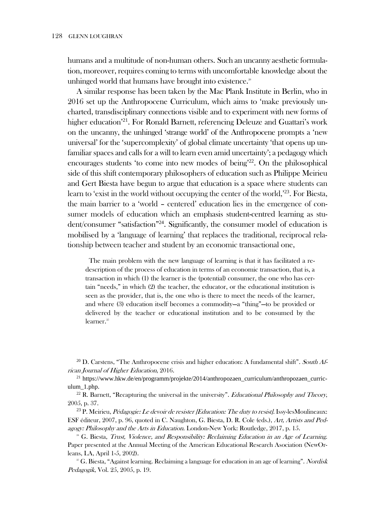humans and a multitude of non-human others. Such an uncanny aesthetic formulation, moreover, requires coming to terms with uncomfortable knowledge about the unhinged world that humans have brought into existence.<sup>®</sup>

A similar response has been taken by the Mac Plank Institute in Berlin, who in 2016 set up the Anthropocene Curriculum, which aims to 'make previously uncharted, transdisciplinary connections visible and to experiment with new forms of higher education'<sup>21</sup> . For Ronald Barnett, referencing Deleuze and Guattari's work on the uncanny, the unhinged 'strange world' of the Anthropocene prompts a 'new universal' for the 'supercomplexity' of global climate uncertainty 'that opens up unfamiliar spaces and calls for a will to learn even amid uncertainty'; a pedagogy which encourages students 'to come into new modes of being'<sup>22</sup>. On the philosophical side of this shift contemporary philosophers of education such as Philippe Meirieu and Gert Biesta have begun to argue that education is a space where students can learn to 'exist in the world without occupying the center of the world,'23. For Biesta, the main barrier to a 'world – centered' education lies in the emergence of consumer models of education which an emphasis student-centred learning as student/consumer "satisfaction"<sup>24</sup>. Significantly, the consumer model of education is mobilised by a 'language of learning' that replaces the traditional, reciprocal relationship between teacher and student by an economic transactional one,

The main problem with the new language of learning is that it has facilitated a redescription of the process of education in terms of an economic transaction, that is, a transaction in which (1) the learner is the (potential) consumer, the one who has certain "needs," in which (2) the teacher, the educator, or the educational institution is seen as the provider, that is, the one who is there to meet the needs of the learner, and where (3) education itself becomes a commodity—a "thing"—to be provided or delivered by the teacher or educational institution and to be consumed by the learner. 25

<sup>20</sup> D. Carstens, "The Anthropocene crisis and higher education: A fundamental shift". South African Journal of Higher Education, 2016.

<sup>21</sup> [https://www.hkw.de/en/programm/projekte/2014/anthropozaen\\_curriculum/anthropozaen\\_curric](https://www.hkw.de/en/programm/projekte/2014/anthropozaen_curriculum/anthropozaen_curriculum_1.php)[ulum\\_1.php](https://www.hkw.de/en/programm/projekte/2014/anthropozaen_curriculum/anthropozaen_curriculum_1.php).

<sup>22</sup> R. Barnett, "Recapturing the universal in the university". *Educational Philosophy and Theory*, 2005, p. 37.

<sup>23</sup> P. Meirieu, Pédagogie: Le devoir de resister [Education: The duty to resist]. Issy-lesMoulineaux: ESF éditeur, 2007, p. 96, quoted in C. Naughton, G. Biesta, D. R. Cole (eds.), Art, Artists and Pedagogy: Philosophy and the Arts in Education. London-New York: Routledge, 2017, p. 15.

 $24$  G. Biesta, Trust, Violence, and Responsibility: Reclaiming Education in an Age of Learning. Paper presented at the Annual Meeting of the American Educational Research Asociation (NewOrleans, LA, April 1-5, 2002).

 $25$  G. Biesta, "Against learning. Reclaiming a language for education in an age of learning". Nordisk Pedagogik, Vol. 25, 2005, p. 19.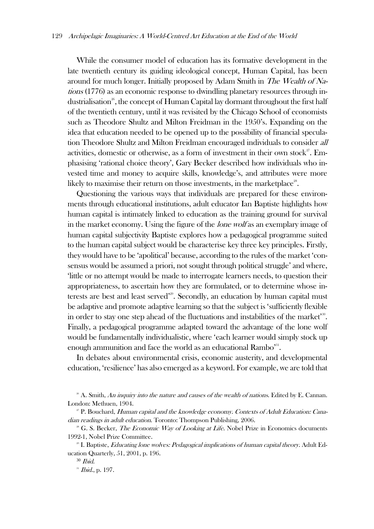While the consumer model of education has its formative development in the late twentieth century its guiding ideological concept, Human Capital, has been around for much longer. Initially proposed by Adam Smith in The Wealth of Nations (1776) as an economic response to dwindling planetary resources through industrialisation<sup>26</sup>, the concept of Human Capital lay dormant throughout the first half of the twentieth century, until it was revisited by the Chicago School of economists such as Theodore Shultz and Milton Freidman in the 1950's. Expanding on the idea that education needed to be opened up to the possibility of financial speculation Theodore Shultz and Milton Freidman encouraged individuals to consider all activities, domestic or otherwise, as a form of investment in their own stock<sup>27</sup>. Emphasising 'rational choice theory', Gary Becker described how individuals who invested time and money to acquire skills, knowledge's, and attributes were more likely to maximise their return on those investments, in the marketplace $^{\text{28}}$ .

Questioning the various ways that individuals are prepared for these environments through educational institutions, adult educator Ian Baptiste highlights how human capital is intimately linked to education as the training ground for survival in the market economy. Using the figure of the *lone wolf* as an exemplary image of human capital subjectivity Baptiste explores how a pedagogical programme suited to the human capital subject would be characterise key three key principles. Firstly, they would have to be 'apolitical' because, according to the rules of the market 'consensus would be assumed a priori, not sought through political struggle' and where, 'little or no attempt would be made to interrogate learners needs, to question their appropriateness, to ascertain how they are formulated, or to determine whose interests are best and least served<sup>229</sup>. Secondly, an education by human capital must be adaptive and promote adaptive learning so that the subject is 'sufficiently flexible in order to stay one step ahead of the fluctuations and instabilities of the market'<sup>30</sup>. Finally, a pedagogical programme adapted toward the advantage of the lone wolf would be fundamentally individualistic, where 'each learner would simply stock up enough ammunition and face the world as an educational Rambo'<sup>31</sup>.

In debates about environmental crisis, economic austerity, and developmental education, 'resilience' has also emerged as a keyword. For example, we are told that

 $26$  A. Smith, An inquiry into the nature and causes of the wealth of nations. Edited by E. Cannan. London: Methuen, 1904.

<sup>&</sup>lt;sup>27</sup> P. Bouchard, *Human capital and the knowledge economy. Contexts of Adult Education: Cana*dian readings in adult education. Toronto: Thompson Publishing, 2006.

<sup>&</sup>lt;sup>28</sup> G. S. Becker, *The Economic Way of Looking at Life*. Nobel Prize in Economics documents 1992-1, Nobel Prize Committee.

<sup>&</sup>lt;sup>29</sup> I. Baptiste, *Educating lone wolves: Pedagogical implications of human capital theory.* Adult Education Quarterly, 51, 2001, p. 196.

<sup>30</sup> Ibid.

<sup>&</sup>lt;sup>31</sup> *Ibid.*, p. 197.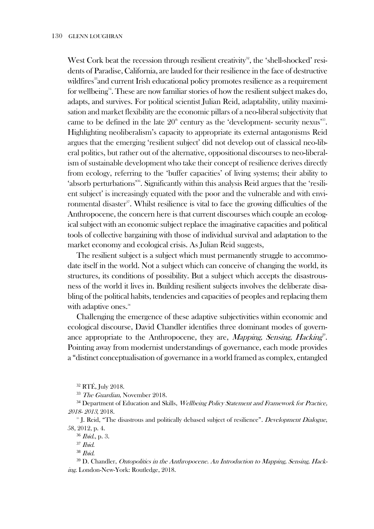West Cork beat the recession through resilient creativity<sup>32</sup>, the 'shell-shocked' residents of Paradise, California, are lauded for their resilience in the face of destructive wildfires<sup>33</sup> and current Irish educational policy promotes resilience as a requirement for wellbeing<sup>34</sup>. These are now familiar stories of how the resilient subject makes do, adapts, and survives. For political scientist Julian Reid, adaptability, utility maximisation and market flexibility are the economic pillars of a neo-liberal subjectivity that came to be defined in the late  $20<sup>th</sup>$  century as the 'development- security nexus'<sup>35</sup>. Highlighting neoliberalism's capacity to appropriate its external antagonisms Reid argues that the emerging 'resilient subject' did not develop out of classical neo-liberal politics, but rather out of the alternative, oppositional discourses to neo-liberalism of sustainable development who take their concept of resilience derives directly from ecology, referring to the 'buffer capacities' of living systems; their ability to 'absorb perturbations<sup>38</sup>. Significantly within this analysis Reid argues that the 'resilient subject' is increasingly equated with the poor and the vulnerable and with environmental disaster<sup>37</sup>. Whilst resilience is vital to face the growing difficulties of the Anthropocene, the concern here is that current discourses which couple an ecological subject with an economic subject replace the imaginative capacities and political tools of collective bargaining with those of individual survival and adaptation to the market economy and ecological crisis. As Julian Reid suggests,

The resilient subject is a subject which must permanently struggle to accommodate itself in the world. Not a subject which can conceive of changing the world, its structures, its conditions of possibility. But a subject which accepts the disastrousness of the world it lives in. Building resilient subjects involves the deliberate disabling of the political habits, tendencies and capacities of peoples and replacing them with adaptive ones.<sup>38</sup>

Challenging the emergence of these adaptive subjectivities within economic and ecological discourse, David Chandler identifies three dominant modes of governance appropriate to the Anthropocene, they are, Mapping, Sensing, Hacking<sup>39</sup>. Pointing away from modernist understandings of governance, each mode provides a "distinct conceptualisation of governance in a world framed as complex, entangled

<sup>32</sup> RTÉ, July 2018.

<sup>33</sup> The Guardian, November 2018.

<sup>34</sup> Department of Education and Skills, *Wellbeing Policy Statement and Framework for Practice*, 2018- <sup>2013</sup>, 2018.

<sup>35</sup> J. Reid, "The disastrous and politically debased subject of resilience". Development Dialogue, 58, 2012, p. 4.

<sup>36</sup> Ibid., p. 3.

 $37$  *Ibid.* 

<sup>38</sup> Ibid.

<sup>39</sup> D. Chandler, *Ontopolitics in the Anthropocene. An Introduction to Mapping, Sensing, Hack*ing. London-New-York: Routledge, 2018.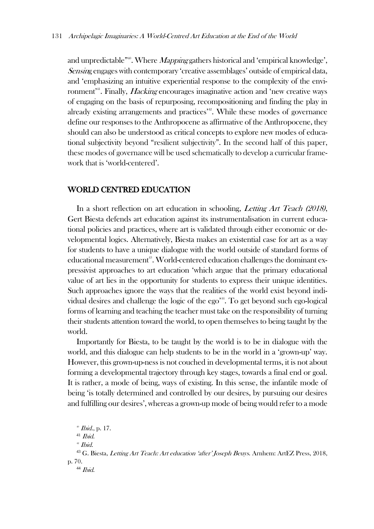and unpredictable"<sup>40</sup>. Where *Mapping* gathers historical and 'empirical knowledge', Sensing engages with contemporary 'creative assemblages' outside of empirical data, and 'emphasizing an intuitive experiential response to the complexity of the environment<sup>41</sup>. Finally, *Hacking* encourages imaginative action and 'new creative ways of engaging on the basis of repurposing, recompositioning and finding the play in already existing arrangements and practices<sup>342</sup>. While these modes of governance define our responses to the Anthropocene as affirmative of the Anthropocene, they should can also be understood as critical concepts to explore new modes of educational subjectivity beyond "resilient subjectivity". In the second half of this paper, these modes of governance will be used schematically to develop a curricular framework that is 'world-centered'.

# WORLD CENTRED EDUCATION

In a short reflection on art education in schooling, Letting Art Teach (2018), Gert Biesta defends art education against its instrumentalisation in current educational policies and practices, where art is validated through either economic or developmental logics. Alternatively, Biesta makes an existential case for art as a way for students to have a unique dialogue with the world outside of standard forms of educational measurement<sup>43</sup>. World-centered education challenges the dominant expressivist approaches to art education 'which argue that the primary educational value of art lies in the opportunity for students to express their unique identities. Such approaches ignore the ways that the realities of the world exist beyond individual desires and challenge the logic of the ego<sup>34</sup>. To get beyond such ego-logical forms of learning and teaching the teacher must take on the responsibility of turning their students attention toward the world, to open themselves to being taught by the world.

Importantly for Biesta, to be taught by the world is to be in dialogue with the world, and this dialogue can help students to be in the world in a 'grown-up' way. However, this grown-up-ness is not couched in developmental terms, it is not about forming a developmental trajectory through key stages, towards a final end or goal. It is rather, a mode of being, ways of existing. In this sense, the infantile mode of being 'is totally determined and controlled by our desires, by pursuing our desires and fulfilling our desires', whereas a grown-up mode of being would refer to a mode

 $^{40}$  *Ibid.*, p. 17.

 $41$  *Ibid.* 

 $42$  *Ibid.* 

<sup>43</sup> G. Biesta, Letting Art Teach: Art education 'after' Joseph Beuys. Arnhem: ArtEZ Press, 2018, p. 70.

<sup>44</sup> Ibid.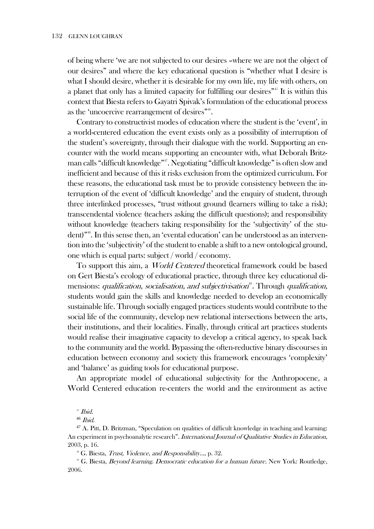of being where 'we are not subjected to our desires –where we are not the object of our desires" and where the key educational question is "whether what I desire is what I should desire, whether it is desirable for my own life, my life with others, on a planet that only has a limited capacity for fulfilling our desires"<sup>45</sup> It is within this context that Biesta refers to Gayatri Spivak's formulation of the educational process as the 'uncoercive rearrangement of desires".

Contrary to constructivist modes of education where the student is the 'event', in a world-centered education the event exists only as a possibility of interruption of the student's sovereignty, through their dialogue with the world. Supporting an encounter with the world means supporting an encounter with, what Deborah Britzman calls "difficult knowledge"<sup>47</sup>. Negotiating "difficult knowledge" is often slow and inefficient and because of this it risks exclusion from the optimized curriculum. For these reasons, the educational task must be to provide consistency between the interruption of the event of 'difficult knowledge' and the enquiry of student, through three interlinked processes, "trust without ground (learners willing to take a risk); transcendental violence (teachers asking the difficult questions); and responsibility without knowledge (teachers taking responsibility for the 'subjectivity' of the student)"<sup>48</sup>. In this sense then, an 'evental education' can be understood as an intervention into the 'subjectivity' of the student to enable a shift to a new ontological ground, one which is equal parts: subject / world / economy.

To support this aim, a World Centered theoretical framework could be based on Gert Biesta's ecology of educational practice, through three key educational dimensions: *qualification, socialisation, and subjectivisation*<sup>®</sup>. Through *qualification*, students would gain the skills and knowledge needed to develop an economically sustainable life. Through socially engaged practices students would contribute to the social life of the community, develop new relational intersections between the arts, their institutions, and their localities. Finally, through critical art practices students would realise their imaginative capacity to develop a critical agency, to speak back to the community and the world. Bypassing the often-reductive binary discourses in education between economy and society this framework encourages 'complexity' and 'balance' as guiding tools for educational purpose.

An appropriate model of educational subjectivity for the Anthropocene, a World Centered education re-centers the world and the environment as active

<sup>48</sup> G. Biesta, *Trust, Violence, and Responsibility...*, p. 32.

<sup>49</sup> G. Biesta, Beyond learning. Democratic education for a human future. New York: Routledge, 2006.

 $45$  Ibid.

 $46$  *Ibid.* 

<sup>47</sup> A. Pitt, D. Britzman, "Speculation on qualities of difficult knowledge in teaching and learning: An experiment in psychoanalytic research". International Journal of Qualitative Studies in Education, 2003, p. 16.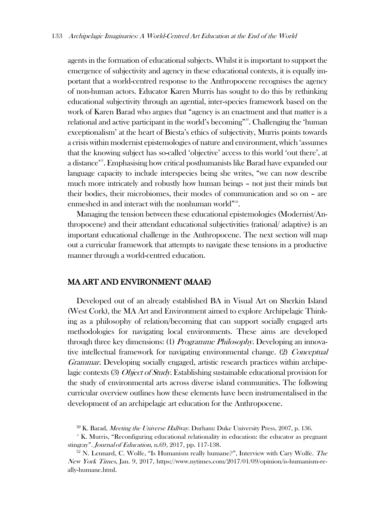agents in the formation of educational subjects. Whilst it is important to support the emergence of subjectivity and agency in these educational contexts, it is equally important that a world-centred response to the Anthropocene recognises the agency of non-human actors. Educator Karen Murris has sought to do this by rethinking educational subjectivity through an agential, inter-species framework based on the work of Karen Barad who argues that "agency is an enactment and that matter is a relational and active participant in the world's becoming"<sup>550</sup>. Challenging the 'human exceptionalism' at the heart of Biesta's ethics of subjectivity, Murris points towards a crisis within modernist epistemologies of nature and environment, which 'assumes that the knowing subject has so-called 'objective' access to this world 'out there', at a distance<sup>351</sup>. Emphasising how critical posthumanists like Barad have expanded our language capacity to include interspecies being she writes, "we can now describe much more intricately and robustly how human beings – not just their minds but their bodies, their microbiomes, their modes of communication and so on – are enmeshed in and interact with the nonhuman world"<sup>332</sup>.

Managing the tension between these educational epistemologies (Modernist/Anthropocene) and their attendant educational subjectivities (rational/ adaptive) is an important educational challenge in the Anthropocene. The next section will map out a curricular framework that attempts to navigate these tensions in a productive manner through a world-centred education.

#### MA ART AND ENVIRONMENT (MAAE)

Developed out of an already established BA in Visual Art on Sherkin Island (West Cork), the MA Art and Environment aimed to explore Archipelagic Thinking as a philosophy of relation/becoming that can support socially engaged arts methodologies for navigating local environments. These aims are developed through three key dimensions: (1) Programme Philosophy. Developing an innovative intellectual framework for navigating environmental change. (2) Conceptual Grammar. Developing socially engaged, artistic research practices within archipelagic contexts (3) *Object of Study.* Establishing sustainable educational provision for the study of environmental arts across diverse island communities. The following curricular overview outlines how these elements have been instrumentalised in the development of an archipelagic art education for the Anthropocene.

<sup>&</sup>lt;sup>50</sup> K. Barad, *Meeting the Universe Halfway*. Durham: Duke University Press, 2007, p. 136.

<sup>&</sup>lt;sup>51</sup> K. Murris, "Reconfiguring educational relationality in education: the educator as pregnant stingray". Journal of Education, n.69, 2017, pp. 117-138.

 $52$  N. Lennard, C. Wolfe, "Is Humanism really humane?", Interview with Cary Wolfe. The New York Times, Jan. 9, 2017, https://www.nytimes.com/2017/01/09/opinion/is-humanism-really-humane.html.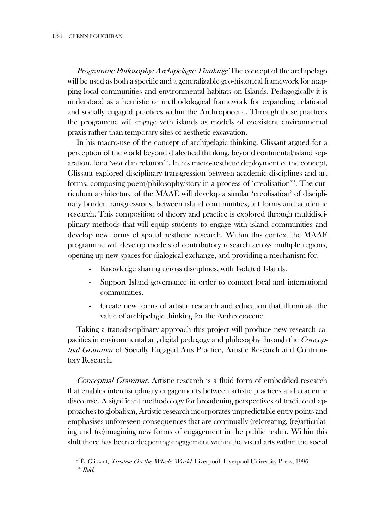Programme Philosophy: Archipelagic Thinking: The concept of the archipelago will be used as both a specific and a generalizable geo-historical framework for mapping local communities and environmental habitats on Islands. Pedagogically it is understood as a heuristic or methodological framework for expanding relational and socially engaged practices within the Anthropocene. Through these practices the programme will engage with islands as models of coexistent environmental praxis rather than temporary sites of aesthetic excavation.

In his macro-use of the concept of archipelagic thinking, Glissant argued for a perception of the world beyond dialectical thinking, beyond continental/island separation, for a 'world in relation'<sup>33</sup>. In his micro-aesthetic deployment of the concept, Glissant explored disciplinary transgression between academic disciplines and art forms, composing poem/philosophy/story in a process of 'creolisation'<sup>54</sup>. The curriculum architecture of the MAAE will develop a similar 'creolisation' of disciplinary border transgressions, between island communities, art forms and academic research. This composition of theory and practice is explored through multidisciplinary methods that will equip students to engage with island communities and develop new forms of spatial aesthetic research. Within this context the MAAE programme will develop models of contributory research across multiple regions, opening up new spaces for dialogical exchange, and providing a mechanism for:

- Knowledge sharing across disciplines, with Isolated Islands.
- Support Island governance in order to connect local and international communities.
- Create new forms of artistic research and education that illuminate the value of archipelagic thinking for the Anthropocene.

Taking a transdisciplinary approach this project will produce new research capacities in environmental art, digital pedagogy and philosophy through the Conceptual Grammar of Socially Engaged Arts Practice, Artistic Research and Contributory Research.

Conceptual Grammar. Artistic research is a fluid form of embedded research that enables interdisciplinary engagements between artistic practices and academic discourse. A significant methodology for broadening perspectives of traditional approaches to globalism, Artistic research incorporates unpredictable entry points and emphasises unforeseen consequences that are continually (re)creating, (re)articulating and (re)imagining new forms of engagement in the public realm. Within this shift there has been a deepening engagement within the visual arts within the social

 $53$  É. Glissant, *Treatise On the Whole World*. Liverpool: Liverpool University Press, 1996.  $54$  *Ibid.*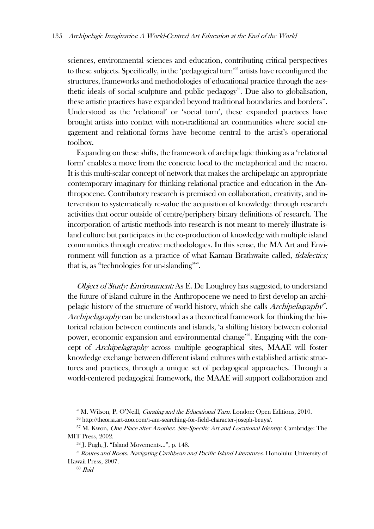sciences, environmental sciences and education, contributing critical perspectives to these subjects. Specifically, in the 'pedagogical turn'<sup>55</sup> artists have reconfigured the structures, frameworks and methodologies of educational practice through the aesthetic ideals of social sculpture and public pedagogy<sup>56</sup>. Due also to globalisation, these artistic practices have expanded beyond traditional boundaries and borders<sup>57</sup>. Understood as the 'relational' or 'social turn', these expanded practices have brought artists into contact with non-traditional art communities where social engagement and relational forms have become central to the artist's operational toolbox.

Expanding on these shifts, the framework of archipelagic thinking as a 'relational form' enables a move from the concrete local to the metaphorical and the macro. It is this multi-scalar concept of network that makes the archipelagic an appropriate contemporary imaginary for thinking relational practice and education in the Anthropocene. Contributory research is premised on collaboration, creativity, and intervention to systematically re-value the acquisition of knowledge through research activities that occur outside of centre/periphery binary definitions of research. The incorporation of artistic methods into research is not meant to merely illustrate island culture but participates in the co-production of knowledge with multiple island communities through creative methodologies. In this sense, the MA Art and Environment will function as a practice of what Kamau Brathwaite called, *tidalectics*; that is, as "technologies for un-islanding"<sup>58</sup>.

Object of Study: Environment: As E. De Loughrey has suggested, to understand the future of island culture in the Anthropocene we need to first develop an archipelagic history of the structure of world history, which she calls Archipelagraphy<sup>®</sup>. Archipelagraphy can be understood as a theoretical framework for thinking the historical relation between continents and islands, 'a shifting history between colonial power, economic expansion and environmental change<sup>360</sup>. Engaging with the concept of Archipelagraphy across multiple geographical sites, MAAE will foster knowledge exchange between different island cultures with established artistic structures and practices, through a unique set of pedagogical approaches. Through a world-centered pedagogical framework, the MAAE will support collaboration and

<sup>&</sup>lt;sup>55</sup> M. Wilson, P. O'Neill, *Curating and the Educational Turn*. London: Open Editions, 2010.

<sup>56</sup> <http://theoria.art-zoo.com/i-am-searching-for-field-character-joseph-beuys/>.

<sup>57</sup> M. Kwon, One Place after Another. Site-Specific Art and Locational Identity. Cambridge: The MIT Press, 2002.

<sup>58</sup> J. Pugh, J. "Island Movements…", p. 148.

<sup>&</sup>lt;sup>39</sup> Routes and Roots. Navigating Caribbean and Pacific Island Literatures. Honolulu: University of Hawaii Press, 2007.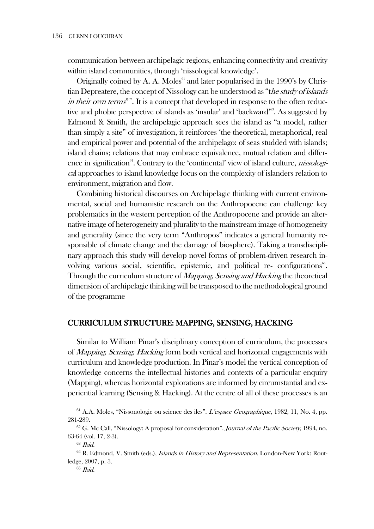communication between archipelagic regions, enhancing connectivity and creativity within island communities, through 'nissological knowledge'.

Originally coined by A. A. Moles<sup> $61$ </sup> and later popularised in the 1990's by Christian Depreatere, the concept of Nissology can be understood as "the study of islands *in their own terms*"<sup>362</sup>. It is a concept that developed in response to the often reductive and phobic perspective of islands as 'insular' and 'backward'<sup>63</sup>. As suggested by Edmond & Smith, the archipelagic approach sees the island as "a model, rather than simply a site" of investigation, it reinforces 'the theoretical, metaphorical, real and empirical power and potential of the archipelago: of seas studded with islands; island chains; relations that may embrace equivalence, mutual relation and difference in signification<sup>64</sup>. Contrary to the 'continental' view of island culture, *nissologi*cal approaches to island knowledge focus on the complexity of islanders relation to environment, migration and flow.

Combining historical discourses on Archipelagic thinking with current environmental, social and humanistic research on the Anthropocene can challenge key problematics in the western perception of the Anthropocene and provide an alternative image of heterogeneity and plurality to the mainstream image of homogeneity and generality (since the very term "Anthropos" indicates a general humanity responsible of climate change and the damage of biosphere). Taking a transdisciplinary approach this study will develop novel forms of problem-driven research involving various social, scientific, epistemic, and political re- configurations<sup>65</sup>. Through the curriculum structure of *Mapping, Sensing and Hacking* the theoretical dimension of archipelagic thinking will be transposed to the methodological ground of the programme

#### CURRICULUM STRUCTURE: MAPPING, SENSING, HACKING

Similar to William Pinar's disciplinary conception of curriculum, the processes of Mapping, Sensing, Hacking form both vertical and horizontal engagements with curriculum and knowledge production. In Pinar's model the vertical conception of knowledge concerns the intellectual histories and contexts of a particular enquiry (Mapping), whereas horizontal explorations are informed by circumstantial and experiential learning (Sensing & Hacking). At the centre of all of these processes is an

<sup>61</sup> A.A. Moles, "Nissonologie ou science des iles". L'espace Geographique, 1982, 11, No. 4, pp. 281-289.

 $62$  G. Mc Call, "Nissology: A proposal for consideration". Journal of the Pacific Society, 1994, no. 63-64 (vol. 17, 2-3).

 $63$  *Ibid.* 

<sup>&</sup>lt;sup>64</sup> R. Edmond, V. Smith (eds.), *Islands in History and Representation*. London-New York: Routledge, 2007, p. 3.

<sup>65</sup> Ibid.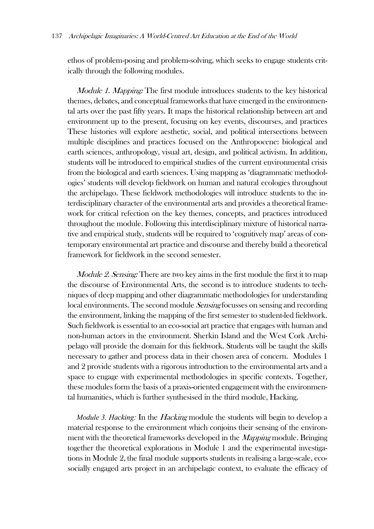ethos of problem-posing and problem-solving, which seeks to engage students critically through the following modules.

Module 1. Mapping: The first module introduces students to the key historical themes, debates, and conceptual frameworks that have emerged in the environmental arts over the past fifty years. It maps the historical relationship between art and environment up to the present, focusing on key events, discourses, and practices These histories will explore aesthetic, social, and political intersections between multiple disciplines and practices focused on the Anthropocene: biological and earth sciences, anthropology, visual art, design, and political activism. In addition, students will be introduced to empirical studies of the current environmental crisis from the biological and earth sciences. Using mapping as 'diagrammatic methodologies' students will develop fieldwork on human and natural ecologies throughout the archipelago. These fieldwork methodologies will introduce students to the interdisciplinary character of the environmental arts and provides a theoretical framework for critical refection on the key themes, concepts, and practices introduced throughout the module. Following this interdisciplinary mixture of historical narrative and empirical study, students will be required to 'cognitively map' areas of contemporary environmental art practice and discourse and thereby build a theoretical framework for fieldwork in the second semester.

*Module 2. Sensing:* There are two key aims in the first module the first it to map the discourse of Environmental Arts, the second is to introduce students to techniques of deep mapping and other diagrammatic methodologies for understanding local environments. The second module *Sensing* focusses on sensing and recording the environment, linking the mapping of the first semester to student-led fieldwork. Such fieldwork is essential to an eco-social art practice that engages with human and non-human actors in the environment. Sherkin Island and the West Cork Archipelago will provide the domain for this fieldwork. Students will be taught the skills necessary to gather and process data in their chosen area of concern. Modules 1 and 2 provide students with a rigorous introduction to the environmental arts and a space to engage with experimental methodologies in specific contexts. Together, these modules form the basis of a praxis-oriented engagement with the environmental humanities, which is further synthesised in the third module, Hacking.

*Module 3. Hacking:* In the Hacking module the students will begin to develop a material response to the environment which conjoins their sensing of the environment with the theoretical frameworks developed in the *Mapping* module. Bringing together the theoretical explorations in Module 1 and the experimental investigations in Module 2, the final module supports students in realising a large-scale, ecosocially engaged arts project in an archipelagic context, to evaluate the efficacy of